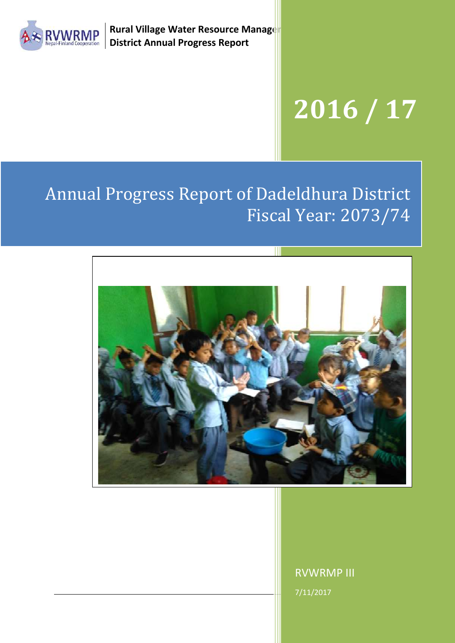

**Rural Village Water Resource Manager District Annual Progress Report**

# **2016 / 17**

## Annual Progress Report of Dadeldhura District Fiscal Year: 2073/74



Please add a good photo here ..................

RVWRMP III 7/11/2017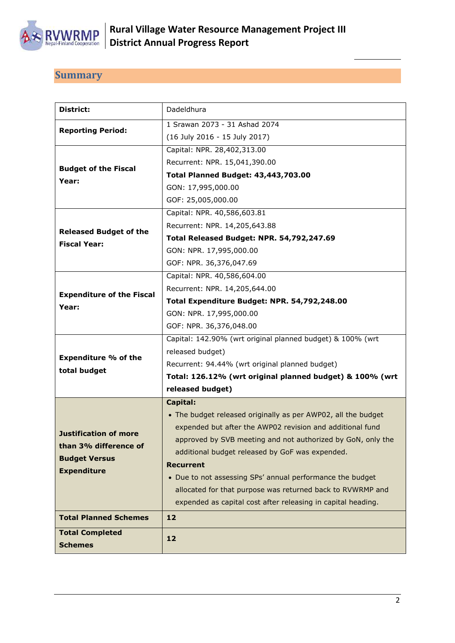

## <span id="page-1-0"></span>**Summary**

| District:                        | Dadeldhura                                                    |
|----------------------------------|---------------------------------------------------------------|
| <b>Reporting Period:</b>         | 1 Srawan 2073 - 31 Ashad 2074                                 |
|                                  | (16 July 2016 - 15 July 2017)                                 |
|                                  | Capital: NPR. 28,402,313.00                                   |
| <b>Budget of the Fiscal</b>      | Recurrent: NPR. 15,041,390.00                                 |
| Year:                            | <b>Total Planned Budget: 43,443,703.00</b>                    |
|                                  | GON: 17,995,000.00                                            |
|                                  | GOF: 25,005,000.00                                            |
|                                  | Capital: NPR. 40,586,603.81                                   |
| <b>Released Budget of the</b>    | Recurrent: NPR. 14,205,643.88                                 |
| <b>Fiscal Year:</b>              | Total Released Budget: NPR. 54,792,247.69                     |
|                                  | GON: NPR. 17,995,000.00                                       |
|                                  | GOF: NPR. 36,376,047.69                                       |
|                                  | Capital: NPR. 40,586,604.00                                   |
| <b>Expenditure of the Fiscal</b> | Recurrent: NPR. 14,205,644.00                                 |
| Year:                            | Total Expenditure Budget: NPR. 54,792,248.00                  |
|                                  | GON: NPR. 17,995,000.00                                       |
|                                  | GOF: NPR. 36,376,048.00                                       |
|                                  | Capital: 142.90% (wrt original planned budget) & 100% (wrt    |
| <b>Expenditure % of the</b>      | released budget)                                              |
| total budget                     | Recurrent: 94.44% (wrt original planned budget)               |
|                                  | Total: 126.12% (wrt original planned budget) & 100% (wrt      |
|                                  | released budget)                                              |
|                                  | <b>Capital:</b>                                               |
|                                  | • The budget released originally as per AWP02, all the budget |
| <b>Justification of more</b>     | expended but after the AWP02 revision and additional fund     |
| than 3% difference of            | approved by SVB meeting and not authorized by GoN, only the   |
| <b>Budget Versus</b>             | additional budget released by GoF was expended.               |
| <b>Expenditure</b>               | <b>Recurrent</b>                                              |
|                                  | • Due to not assessing SPs' annual performance the budget     |
|                                  | allocated for that purpose was returned back to RVWRMP and    |
|                                  | expended as capital cost after releasing in capital heading.  |
| <b>Total Planned Schemes</b>     | 12                                                            |
| <b>Total Completed</b>           | 12                                                            |
| <b>Schemes</b>                   |                                                               |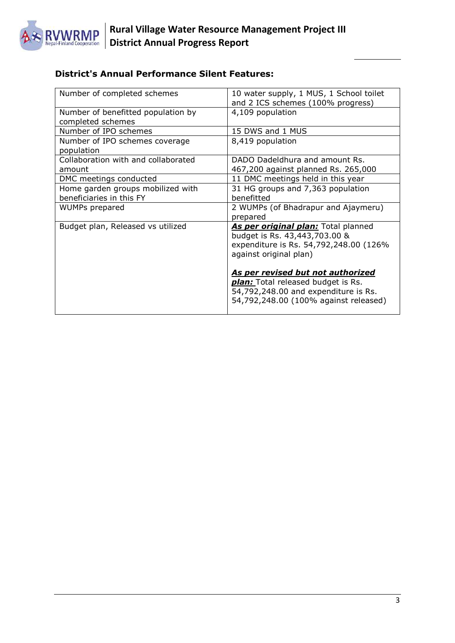

## **District's Annual Performance Silent Features:**

| Number of completed schemes         | 10 water supply, 1 MUS, 1 School toilet   |
|-------------------------------------|-------------------------------------------|
|                                     | and 2 ICS schemes (100% progress)         |
| Number of benefitted population by  | 4,109 population                          |
| completed schemes                   |                                           |
| Number of IPO schemes               | 15 DWS and 1 MUS                          |
| Number of IPO schemes coverage      | 8,419 population                          |
| population                          |                                           |
| Collaboration with and collaborated | DADO Dadeldhura and amount Rs.            |
| amount                              | 467,200 against planned Rs. 265,000       |
| DMC meetings conducted              | 11 DMC meetings held in this year         |
| Home garden groups mobilized with   | 31 HG groups and 7,363 population         |
| beneficiaries in this FY            | benefitted                                |
| WUMPs prepared                      | 2 WUMPs (of Bhadrapur and Ajaymeru)       |
|                                     | prepared                                  |
| Budget plan, Released vs utilized   | As per original plan: Total planned       |
|                                     | budget is Rs. 43,443,703.00 &             |
|                                     | expenditure is Rs. 54,792,248.00 (126%    |
|                                     | against original plan)                    |
|                                     |                                           |
|                                     | As per revised but not authorized         |
|                                     | <b>plan:</b> Total released budget is Rs. |
|                                     | 54,792,248.00 and expenditure is Rs.      |
|                                     |                                           |
|                                     | 54,792,248.00 (100% against released)     |
|                                     |                                           |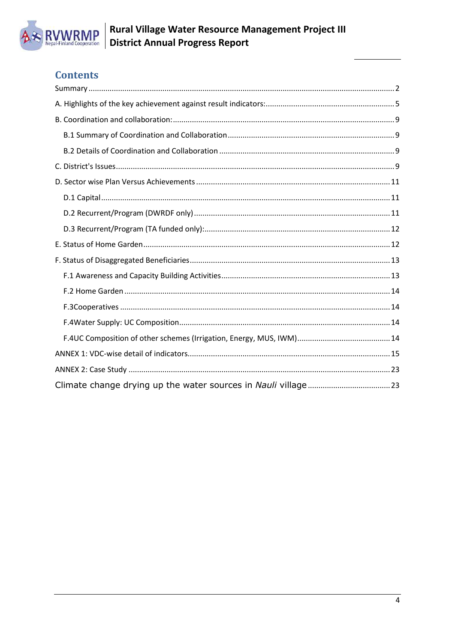

## **Contents**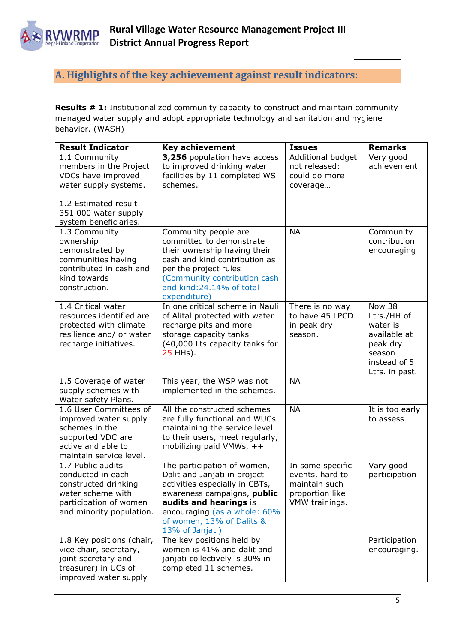

## <span id="page-4-0"></span>**A. Highlights of the key achievement against result indicators:**

**Results # 1:** Institutionalized community capacity to construct and maintain community managed water supply and adopt appropriate technology and sanitation and hygiene behavior. (WASH)

| <b>Result Indicator</b>                                                                                                                                         | <b>Key achievement</b><br><b>Issues</b>                                                                                                                                                                                                |                                                                                           | <b>Remarks</b>                                                                                                   |  |
|-----------------------------------------------------------------------------------------------------------------------------------------------------------------|----------------------------------------------------------------------------------------------------------------------------------------------------------------------------------------------------------------------------------------|-------------------------------------------------------------------------------------------|------------------------------------------------------------------------------------------------------------------|--|
| 1.1 Community<br>members in the Project<br>VDCs have improved<br>water supply systems.<br>1.2 Estimated result<br>351 000 water supply<br>system beneficiaries. | 3,256 population have access<br>to improved drinking water<br>facilities by 11 completed WS<br>schemes.                                                                                                                                | Additional budget<br>not released:<br>could do more<br>coverage                           | Very good<br>achievement                                                                                         |  |
| 1.3 Community<br>ownership<br>demonstrated by<br>communities having<br>contributed in cash and<br>kind towards<br>construction.                                 | Community people are<br>committed to demonstrate<br>their ownership having their<br>cash and kind contribution as<br>per the project rules<br>(Community contribution cash<br>and kind:24.14% of total<br>expenditure)                 | <b>NA</b>                                                                                 | Community<br>contribution<br>encouraging                                                                         |  |
| 1.4 Critical water<br>resources identified are<br>protected with climate<br>resilience and/ or water<br>recharge initiatives.                                   | In one critical scheme in Nauli<br>of Alital protected with water<br>recharge pits and more<br>storage capacity tanks<br>(40,000 Lts capacity tanks for<br>25 HHs).                                                                    | There is no way<br>to have 45 LPCD<br>in peak dry<br>season.                              | <b>Now 38</b><br>Ltrs./HH of<br>water is<br>available at<br>peak dry<br>season<br>instead of 5<br>Ltrs. in past. |  |
| 1.5 Coverage of water<br>supply schemes with<br>Water safety Plans.                                                                                             | This year, the WSP was not<br>implemented in the schemes.                                                                                                                                                                              | <b>NA</b>                                                                                 |                                                                                                                  |  |
| 1.6 User Committees of<br>improved water supply<br>schemes in the<br>supported VDC are<br>active and able to<br>maintain service level.                         | All the constructed schemes<br>are fully functional and WUCs<br>maintaining the service level<br>to their users, meet regularly,<br>mobilizing paid VMWs, $++$                                                                         | <b>NA</b>                                                                                 | It is too early<br>to assess                                                                                     |  |
| 1.7 Public audits<br>conducted in each<br>constructed drinking<br>water scheme with<br>participation of women<br>and minority population.                       | The participation of women,<br>Dalit and Janjati in project<br>activities especially in CBTs,<br>awareness campaigns, public<br>audits and hearings is<br>encouraging (as a whole: 60%<br>of women, 13% of Dalits &<br>13% of Janjati) | In some specific<br>events, hard to<br>maintain such<br>proportion like<br>VMW trainings. | Vary good<br>participation                                                                                       |  |
| 1.8 Key positions (chair,<br>vice chair, secretary,<br>joint secretary and<br>treasurer) in UCs of<br>improved water supply                                     | The key positions held by<br>women is 41% and dalit and<br>janjati collectively is 30% in<br>completed 11 schemes.                                                                                                                     |                                                                                           | Participation<br>encouraging.                                                                                    |  |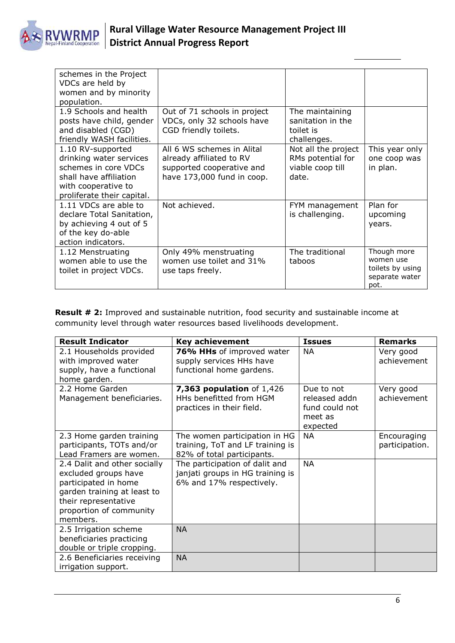

| schemes in the Project<br>VDCs are held by<br>women and by minority<br>population.                                                                  |                                                                                                                   |                                                                       |                                                                        |
|-----------------------------------------------------------------------------------------------------------------------------------------------------|-------------------------------------------------------------------------------------------------------------------|-----------------------------------------------------------------------|------------------------------------------------------------------------|
| 1.9 Schools and health<br>posts have child, gender<br>and disabled (CGD)<br>friendly WASH facilities.                                               | Out of 71 schools in project<br>VDCs, only 32 schools have<br>CGD friendly toilets.                               | The maintaining<br>sanitation in the<br>toilet is<br>challenges.      |                                                                        |
| 1.10 RV-supported<br>drinking water services<br>schemes in core VDCs<br>shall have affiliation<br>with cooperative to<br>proliferate their capital. | All 6 WS schemes in Alital<br>already affiliated to RV<br>supported cooperative and<br>have 173,000 fund in coop. | Not all the project<br>RMs potential for<br>viable coop till<br>date. | This year only<br>one coop was<br>in plan.                             |
| 1.11 VDCs are able to<br>declare Total Sanitation,<br>by achieving 4 out of 5<br>of the key do-able<br>action indicators.                           | Not achieved.                                                                                                     | FYM management<br>is challenging.                                     | Plan for<br>upcoming<br>years.                                         |
| 1.12 Menstruating<br>women able to use the<br>toilet in project VDCs.                                                                               | Only 49% menstruating<br>women use toilet and 31%<br>use taps freely.                                             | The traditional<br>taboos                                             | Though more<br>women use<br>toilets by using<br>separate water<br>pot. |

**Result # 2:** Improved and sustainable nutrition, food security and sustainable income at community level through water resources based livelihoods development.

| <b>Result Indicator</b>                                                                                                                                                    | <b>Key achievement</b>                                                                          | <b>Issues</b>                                                        | <b>Remarks</b>                |
|----------------------------------------------------------------------------------------------------------------------------------------------------------------------------|-------------------------------------------------------------------------------------------------|----------------------------------------------------------------------|-------------------------------|
| 2.1 Households provided<br>with improved water<br>supply, have a functional<br>home garden.                                                                                | 76% HHs of improved water<br>supply services HHs have<br>functional home gardens.               | ΝA                                                                   | Very good<br>achievement      |
| 2.2 Home Garden<br>Management beneficiaries.                                                                                                                               | <b>7,363 population of 1,426</b><br>HHs benefitted from HGM<br>practices in their field.        | Due to not<br>released addn<br>fund could not<br>meet as<br>expected | Very good<br>achievement      |
| 2.3 Home garden training<br>participants, TOTs and/or<br>Lead Framers are women.                                                                                           | The women participation in HG<br>training, ToT and LF training is<br>82% of total participants. | NA                                                                   | Encouraging<br>participation. |
| 2.4 Dalit and other socially<br>excluded groups have<br>participated in home<br>garden training at least to<br>their representative<br>proportion of community<br>members. | The participation of dalit and<br>janjati groups in HG training is<br>6% and 17% respectively.  | <b>NA</b>                                                            |                               |
| 2.5 Irrigation scheme<br>beneficiaries practicing<br>double or triple cropping.                                                                                            | <b>NA</b>                                                                                       |                                                                      |                               |
| 2.6 Beneficiaries receiving<br>irrigation support.                                                                                                                         | <b>NA</b>                                                                                       |                                                                      |                               |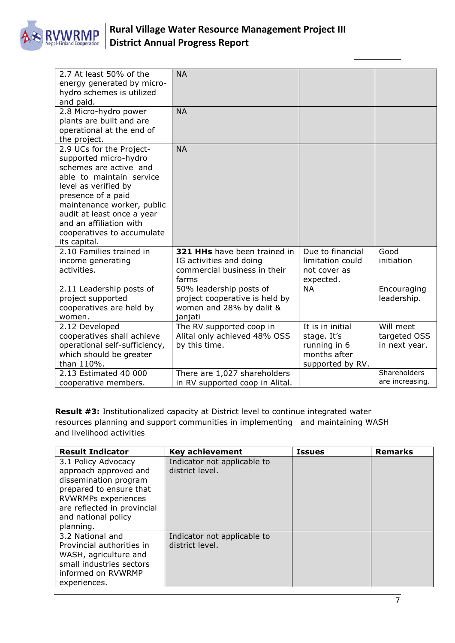

| 2.7 At least 50% of the<br>energy generated by micro-<br>hydro schemes is utilized                                                                                                                                                                                                         | <b>NA</b>                                                                                        |                                                                                     |                                            |
|--------------------------------------------------------------------------------------------------------------------------------------------------------------------------------------------------------------------------------------------------------------------------------------------|--------------------------------------------------------------------------------------------------|-------------------------------------------------------------------------------------|--------------------------------------------|
| and paid.<br>2.8 Micro-hydro power<br>plants are built and are<br>operational at the end of<br>the project.                                                                                                                                                                                | <b>NA</b>                                                                                        |                                                                                     |                                            |
| 2.9 UCs for the Project-<br>supported micro-hydro<br>schemes are active and<br>able to maintain service<br>level as verified by<br>presence of a paid<br>maintenance worker, public<br>audit at least once a year<br>and an affiliation with<br>cooperatives to accumulate<br>its capital. | <b>NA</b>                                                                                        |                                                                                     |                                            |
| 2.10 Families trained in<br>income generating<br>activities.                                                                                                                                                                                                                               | 321 HHs have been trained in<br>IG activities and doing<br>commercial business in their<br>farms | Due to financial<br>limitation could<br>not cover as<br>expected.                   | Good<br>initiation                         |
| 2.11 Leadership posts of<br>project supported<br>cooperatives are held by<br>women.                                                                                                                                                                                                        | 50% leadership posts of<br>project cooperative is held by<br>women and 28% by dalit &<br>janjati | <b>NA</b>                                                                           | Encouraging<br>leadership.                 |
| 2.12 Developed<br>cooperatives shall achieve<br>operational self-sufficiency,<br>which should be greater<br>than 110%.                                                                                                                                                                     | The RV supported coop in<br>Alital only achieved 48% OSS<br>by this time.                        | It is in initial<br>stage. It's<br>running in 6<br>months after<br>supported by RV. | Will meet<br>targeted OSS<br>in next year. |
| 2.13 Estimated 40 000<br>cooperative members.                                                                                                                                                                                                                                              | There are 1,027 shareholders<br>in RV supported coop in Alital.                                  |                                                                                     | Shareholders<br>are increasing.            |

**Result #3:** Institutionalized capacity at District level to continue integrated water resources planning and support communities in implementing and maintaining WASH and livelihood activities

| <b>Result Indicator</b>                                                                                                                                                                    | <b>Key achievement</b>                         | <b>Issues</b> | <b>Remarks</b> |
|--------------------------------------------------------------------------------------------------------------------------------------------------------------------------------------------|------------------------------------------------|---------------|----------------|
| 3.1 Policy Advocacy<br>approach approved and<br>dissemination program<br>prepared to ensure that<br>RVWRMPs experiences<br>are reflected in provincial<br>and national policy<br>planning. | Indicator not applicable to<br>district level. |               |                |
| 3.2 National and<br>Provincial authorities in<br>WASH, agriculture and<br>small industries sectors<br>informed on RVWRMP<br>experiences.                                                   | Indicator not applicable to<br>district level. |               |                |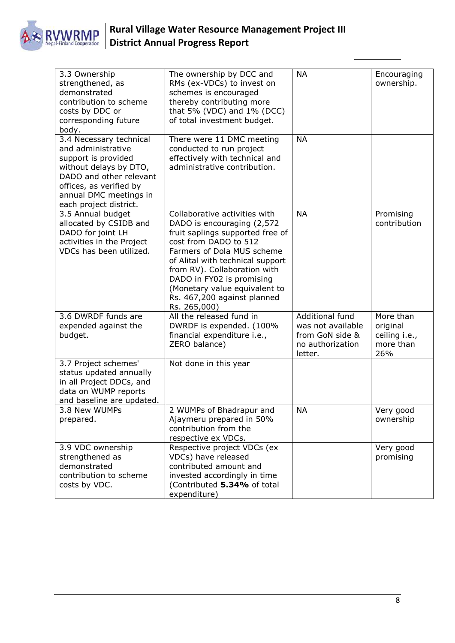

|                                                                                                                                                                                                                                                                                                                                      | 3.3 Ownership<br>strengthened, as<br>demonstrated<br>contribution to scheme<br>costs by DDC or<br>corresponding future<br>body.  | The ownership by DCC and<br>RMs (ex-VDCs) to invest on<br>schemes is encouraged<br>thereby contributing more<br>that 5% (VDC) and 1% (DCC)<br>of total investment budget.                                                                                                                                                                | <b>NA</b>                                                                              | Encouraging<br>ownership.                                  |
|--------------------------------------------------------------------------------------------------------------------------------------------------------------------------------------------------------------------------------------------------------------------------------------------------------------------------------------|----------------------------------------------------------------------------------------------------------------------------------|------------------------------------------------------------------------------------------------------------------------------------------------------------------------------------------------------------------------------------------------------------------------------------------------------------------------------------------|----------------------------------------------------------------------------------------|------------------------------------------------------------|
| 3.4 Necessary technical<br>and administrative<br>support is provided<br>without delays by DTO,<br>DADO and other relevant<br>offices, as verified by<br>annual DMC meetings in<br>each project district.<br>3.5 Annual budget<br>allocated by CSIDB and<br>DADO for joint LH<br>activities in the Project<br>VDCs has been utilized. |                                                                                                                                  | There were 11 DMC meeting<br>conducted to run project<br>effectively with technical and<br>administrative contribution.                                                                                                                                                                                                                  | <b>NA</b>                                                                              |                                                            |
|                                                                                                                                                                                                                                                                                                                                      |                                                                                                                                  | Collaborative activities with<br>DADO is encouraging (2,572)<br>fruit saplings supported free of<br>cost from DADO to 512<br>Farmers of Dola MUS scheme<br>of Alital with technical support<br>from RV). Collaboration with<br>DADO in FY02 is promising<br>(Monetary value equivalent to<br>Rs. 467,200 against planned<br>Rs. 265,000) | <b>NA</b>                                                                              | Promising<br>contribution                                  |
|                                                                                                                                                                                                                                                                                                                                      | 3.6 DWRDF funds are<br>expended against the<br>budget.                                                                           | All the released fund in<br>DWRDF is expended. (100%<br>financial expenditure i.e.,<br>ZERO balance)                                                                                                                                                                                                                                     | Additional fund<br>was not available<br>from GoN side &<br>no authorization<br>letter. | More than<br>original<br>ceiling i.e.,<br>more than<br>26% |
|                                                                                                                                                                                                                                                                                                                                      | 3.7 Project schemes'<br>status updated annually<br>in all Project DDCs, and<br>data on WUMP reports<br>and baseline are updated. | Not done in this year                                                                                                                                                                                                                                                                                                                    |                                                                                        |                                                            |
| 3.8 New WUMPs<br>prepared.                                                                                                                                                                                                                                                                                                           |                                                                                                                                  | 2 WUMPs of Bhadrapur and<br>Ajaymeru prepared in 50%<br>contribution from the<br>respective ex VDCs.                                                                                                                                                                                                                                     | <b>NA</b>                                                                              | Very good<br>ownership                                     |
|                                                                                                                                                                                                                                                                                                                                      | 3.9 VDC ownership<br>strengthened as<br>demonstrated<br>contribution to scheme<br>costs by VDC.                                  | Respective project VDCs (ex<br>VDCs) have released<br>contributed amount and<br>invested accordingly in time<br>(Contributed 5.34% of total<br>expenditure)                                                                                                                                                                              |                                                                                        | Very good<br>promising                                     |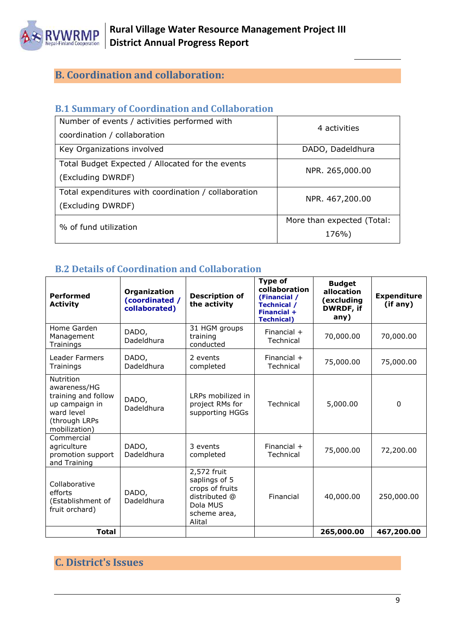

## <span id="page-8-0"></span>**B. Coordination and collaboration:**

### <span id="page-8-1"></span>**B.1 Summary of Coordination and Collaboration**

| Number of events / activities performed with<br>coordination / collaboration | 4 activities                        |
|------------------------------------------------------------------------------|-------------------------------------|
| Key Organizations involved                                                   | DADO, Dadeldhura                    |
| Total Budget Expected / Allocated for the events<br>(Excluding DWRDF)        | NPR. 265,000.00                     |
| Total expenditures with coordination / collaboration<br>(Excluding DWRDF)    | NPR. 467,200.00                     |
| % of fund utilization                                                        | More than expected (Total:<br>176%) |

## <span id="page-8-2"></span>**B.2 Details of Coordination and Collaboration**

| <b>Performed</b><br><b>Activity</b>                                                                                | Organization<br>(coordinated /<br>collaborated) | <b>Description of</b><br>the activity                                                                  | <b>Type of</b><br>collaboration<br>(Financial /<br><b>Technical /</b><br>Financial +<br><b>Technical</b> ) | <b>Budget</b><br>allocation<br>(excluding<br>DWRDF, if<br>any) | <b>Expenditure</b><br>(if any) |
|--------------------------------------------------------------------------------------------------------------------|-------------------------------------------------|--------------------------------------------------------------------------------------------------------|------------------------------------------------------------------------------------------------------------|----------------------------------------------------------------|--------------------------------|
| Home Garden<br>Management<br>Trainings                                                                             | DADO,<br>Dadeldhura                             | 31 HGM groups<br>training<br>conducted                                                                 | Financial $+$<br>Technical                                                                                 | 70,000.00                                                      | 70,000.00                      |
| <b>Leader Farmers</b><br>Trainings                                                                                 | DADO,<br>Dadeldhura                             | 2 events<br>completed                                                                                  | Financial $+$<br>Technical                                                                                 | 75,000.00                                                      | 75,000.00                      |
| Nutrition<br>awareness/HG<br>training and follow<br>up campaign in<br>ward level<br>(through LRPs<br>mobilization) | DADO,<br>Dadeldhura                             | LRPs mobilized in<br>project RMs for<br>supporting HGGs                                                | Technical                                                                                                  | 5,000.00                                                       | $\Omega$                       |
| Commercial<br>agriculture<br>promotion support<br>and Training                                                     | DADO,<br>Dadeldhura                             | 3 events<br>completed                                                                                  | Financial $+$<br>Technical                                                                                 | 75,000.00                                                      | 72,200.00                      |
| Collaborative<br>efforts<br>(Establishment of<br>fruit orchard)                                                    | DADO,<br>Dadeldhura                             | 2,572 fruit<br>saplings of 5<br>crops of fruits<br>distributed @<br>Dola MUS<br>scheme area,<br>Alital | Financial                                                                                                  | 40,000.00                                                      | 250,000.00                     |
| <b>Total</b>                                                                                                       |                                                 |                                                                                                        |                                                                                                            | 265,000.00                                                     | 467,200.00                     |

## <span id="page-8-3"></span>**C. District's Issues**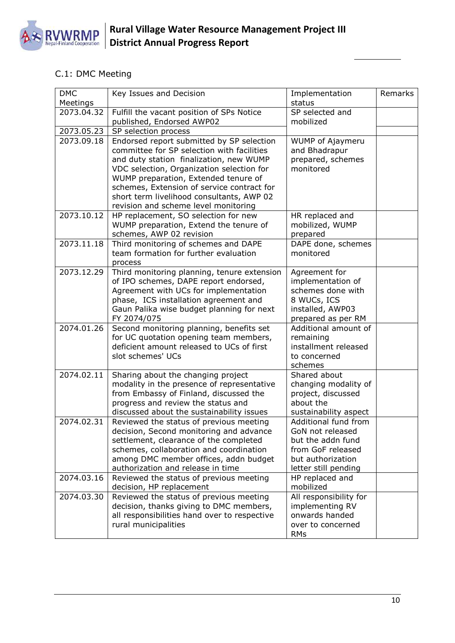

## C.1: DMC Meeting

| <b>DMC</b> | Key Issues and Decision                                                           | Implementation                     | Remarks |
|------------|-----------------------------------------------------------------------------------|------------------------------------|---------|
| Meetings   |                                                                                   | status                             |         |
| 2073.04.32 | Fulfill the vacant position of SPs Notice                                         | SP selected and                    |         |
|            | published, Endorsed AWP02                                                         | mobilized                          |         |
| 2073.05.23 | SP selection process                                                              |                                    |         |
| 2073.09.18 | Endorsed report submitted by SP selection                                         | WUMP of Ajaymeru                   |         |
|            | committee for SP selection with facilities                                        | and Bhadrapur                      |         |
|            | and duty station finalization, new WUMP                                           | prepared, schemes<br>monitored     |         |
|            | VDC selection, Organization selection for<br>WUMP preparation, Extended tenure of |                                    |         |
|            | schemes, Extension of service contract for                                        |                                    |         |
|            | short term livelihood consultants, AWP 02                                         |                                    |         |
|            | revision and scheme level monitoring                                              |                                    |         |
| 2073.10.12 | HP replacement, SO selection for new                                              | HR replaced and                    |         |
|            | WUMP preparation, Extend the tenure of                                            | mobilized, WUMP                    |         |
|            | schemes, AWP 02 revision                                                          | prepared                           |         |
| 2073.11.18 | Third monitoring of schemes and DAPE                                              | DAPE done, schemes                 |         |
|            | team formation for further evaluation                                             | monitored                          |         |
|            | process                                                                           |                                    |         |
| 2073.12.29 | Third monitoring planning, tenure extension                                       | Agreement for                      |         |
|            | of IPO schemes, DAPE report endorsed,                                             | implementation of                  |         |
|            | Agreement with UCs for implementation<br>phase, ICS installation agreement and    | schemes done with<br>8 WUCs, ICS   |         |
|            | Gaun Palika wise budget planning for next                                         | installed, AWP03                   |         |
|            | FY 2074/075                                                                       | prepared as per RM                 |         |
| 2074.01.26 | Second monitoring planning, benefits set                                          | Additional amount of               |         |
|            | for UC quotation opening team members,                                            | remaining                          |         |
|            | deficient amount released to UCs of first                                         | installment released               |         |
|            | slot schemes' UCs                                                                 | to concerned                       |         |
|            |                                                                                   | schemes                            |         |
| 2074.02.11 | Sharing about the changing project                                                | Shared about                       |         |
|            | modality in the presence of representative                                        | changing modality of               |         |
|            | from Embassy of Finland, discussed the                                            | project, discussed                 |         |
|            | progress and review the status and<br>discussed about the sustainability issues   | about the<br>sustainability aspect |         |
| 2074.02.31 | Reviewed the status of previous meeting                                           | Additional fund from               |         |
|            | decision, Second monitoring and advance                                           | GoN not released                   |         |
|            | settlement, clearance of the completed                                            | but the addn fund                  |         |
|            | schemes, collaboration and coordination                                           | from GoF released                  |         |
|            | among DMC member offices, addn budget                                             | but authorization                  |         |
|            | authorization and release in time                                                 | letter still pending               |         |
| 2074.03.16 | Reviewed the status of previous meeting                                           | HP replaced and                    |         |
|            | decision, HP replacement                                                          | mobilized                          |         |
| 2074.03.30 | Reviewed the status of previous meeting                                           | All responsibility for             |         |
|            | decision, thanks giving to DMC members,                                           | implementing RV                    |         |
|            | all responsibilities hand over to respective                                      | onwards handed                     |         |
|            | rural municipalities                                                              | over to concerned                  |         |
|            |                                                                                   | <b>RMs</b>                         |         |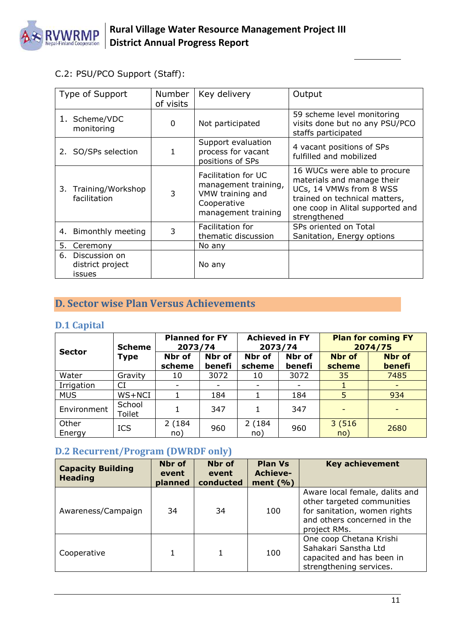

C.2: PSU/PCO Support (Staff):

| Type of Support                                          | <b>Number</b><br>of visits | Key delivery                                                                                          | Output                                                                                                                                                                     |
|----------------------------------------------------------|----------------------------|-------------------------------------------------------------------------------------------------------|----------------------------------------------------------------------------------------------------------------------------------------------------------------------------|
| 1. Scheme/VDC<br>monitoring                              | 0                          | Not participated                                                                                      | 59 scheme level monitoring<br>visits done but no any PSU/PCO<br>staffs participated                                                                                        |
| 2. SO/SPs selection                                      | 1                          | Support evaluation<br>process for vacant<br>positions of SPs                                          | 4 vacant positions of SPs<br>fulfilled and mobilized                                                                                                                       |
| 3. Training/Workshop<br>facilitation                     | 3                          | Facilitation for UC<br>management training,<br>VMW training and<br>Cooperative<br>management training | 16 WUCs were able to procure<br>materials and manage their<br>UCs, 14 VMWs from 8 WSS<br>trained on technical matters,<br>one coop in Alital supported and<br>strengthened |
| 4. Bimonthly meeting                                     | 3                          | Facilitation for<br>thematic discussion                                                               | SPs oriented on Total<br>Sanitation, Energy options                                                                                                                        |
| 5.<br>Ceremony                                           |                            | No any                                                                                                |                                                                                                                                                                            |
| Discussion on<br>6.<br>district project<br><b>issues</b> |                            | No any                                                                                                |                                                                                                                                                                            |

## <span id="page-10-0"></span>**D. Sector wise Plan Versus Achievements**

## <span id="page-10-1"></span>**D.1 Capital**

| <b>Scheme</b><br><b>Sector</b> |                  | <b>Planned for FY</b><br>2073/74 |                  | <b>Achieved in FY</b><br>2073/74 |                  | <b>Plan for coming FY</b><br>2074/75 |                         |  |
|--------------------------------|------------------|----------------------------------|------------------|----------------------------------|------------------|--------------------------------------|-------------------------|--|
|                                | <b>Type</b>      | Nbr of<br>scheme                 | Nbr of<br>benefi | Nbr of<br>scheme                 | Nbr of<br>benefi | <b>Nbr</b> of<br>scheme              | <b>Nbr of</b><br>benefi |  |
| Water                          | Gravity          | 10                               | 3072             | 10                               | 3072             | 35                                   | 7485                    |  |
| Irrigation                     | CI               |                                  |                  |                                  |                  |                                      |                         |  |
| <b>MUS</b>                     | WS+NCI           |                                  | 184              |                                  | 184              | 5                                    | 934                     |  |
| Environment                    | School<br>Toilet |                                  | 347              |                                  | 347              |                                      |                         |  |
| Other<br>Energy                | <b>ICS</b>       | 2(184)<br>no)                    | 960              | 2(184)<br>no)                    | 960              | 3(516)<br>no)                        | 2680                    |  |

## <span id="page-10-2"></span>**D.2 Recurrent/Program (DWRDF only)**

| <b>Capacity Building</b><br><b>Heading</b> | Nbr of<br>event<br>planned | Nbr of<br>event<br>conducted | <b>Plan Vs</b><br><b>Achieve-</b><br>ment $(\% )$ | <b>Key achievement</b>                                                                                                                      |
|--------------------------------------------|----------------------------|------------------------------|---------------------------------------------------|---------------------------------------------------------------------------------------------------------------------------------------------|
| Awareness/Campaign                         | 34                         | 34                           | 100                                               | Aware local female, dalits and<br>other targeted communities<br>for sanitation, women rights<br>and others concerned in the<br>project RMs. |
| Cooperative                                |                            |                              | 100                                               | One coop Chetana Krishi<br>Sahakari Sanstha Ltd<br>capacited and has been in<br>strengthening services.                                     |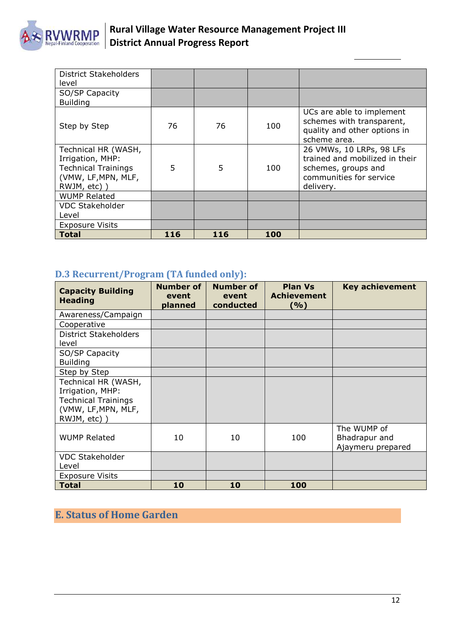

| <b>District Stakeholders</b><br>level                                                                       |     |     |     |                                                                                                                           |
|-------------------------------------------------------------------------------------------------------------|-----|-----|-----|---------------------------------------------------------------------------------------------------------------------------|
| SO/SP Capacity<br><b>Building</b>                                                                           |     |     |     |                                                                                                                           |
| Step by Step                                                                                                | 76  | 76  | 100 | UCs are able to implement<br>schemes with transparent,<br>quality and other options in<br>scheme area.                    |
| Technical HR (WASH,<br>Irrigation, MHP:<br><b>Technical Trainings</b><br>(VMW, LF, MPN, MLF,<br>RWJM, etc)) | 5   | 5   | 100 | 26 VMWs, 10 LRPs, 98 LFs<br>trained and mobilized in their<br>schemes, groups and<br>communities for service<br>delivery. |
| <b>WUMP Related</b>                                                                                         |     |     |     |                                                                                                                           |
| <b>VDC Stakeholder</b>                                                                                      |     |     |     |                                                                                                                           |
| Level                                                                                                       |     |     |     |                                                                                                                           |
| <b>Exposure Visits</b>                                                                                      |     |     |     |                                                                                                                           |
| <b>Total</b>                                                                                                | 116 | 116 | 100 |                                                                                                                           |

## <span id="page-11-0"></span>**D.3 Recurrent/Program (TA funded only):**

| <b>Capacity Building</b><br><b>Heading</b>                                                                  | <b>Number of</b><br>event<br>planned | <b>Number of</b><br>event<br>conducted | <b>Plan Vs</b><br><b>Achievement</b><br>( %) | <b>Key achievement</b>                            |
|-------------------------------------------------------------------------------------------------------------|--------------------------------------|----------------------------------------|----------------------------------------------|---------------------------------------------------|
| Awareness/Campaign                                                                                          |                                      |                                        |                                              |                                                   |
| Cooperative                                                                                                 |                                      |                                        |                                              |                                                   |
| District Stakeholders<br>level                                                                              |                                      |                                        |                                              |                                                   |
| SO/SP Capacity<br><b>Building</b>                                                                           |                                      |                                        |                                              |                                                   |
| Step by Step                                                                                                |                                      |                                        |                                              |                                                   |
| Technical HR (WASH,<br>Irrigation, MHP:<br><b>Technical Trainings</b><br>(VMW, LF, MPN, MLF,<br>RWJM, etc)) |                                      |                                        |                                              |                                                   |
| <b>WUMP Related</b>                                                                                         | 10                                   | 10                                     | 100                                          | The WUMP of<br>Bhadrapur and<br>Ajaymeru prepared |
| <b>VDC Stakeholder</b><br>Level                                                                             |                                      |                                        |                                              |                                                   |
| <b>Exposure Visits</b>                                                                                      |                                      |                                        |                                              |                                                   |
| <b>Total</b>                                                                                                | 10                                   | 10                                     | 100                                          |                                                   |

## <span id="page-11-1"></span>**E. Status of Home Garden**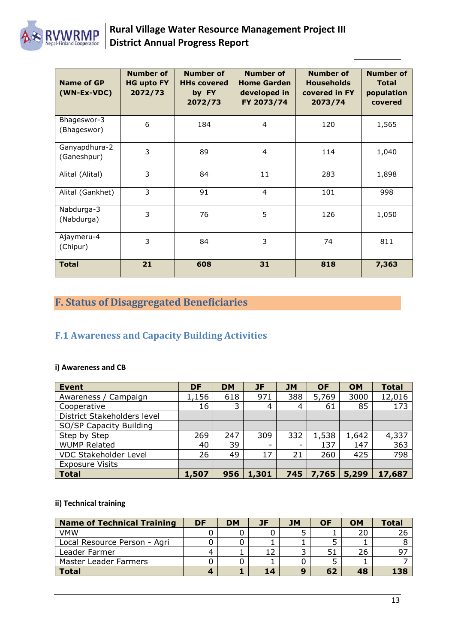

| Name of GP<br>(WN-Ex-VDC)    | <b>Number of</b><br><b>HG upto FY</b><br>2072/73 | <b>Number of</b><br><b>HHs covered</b><br>by FY<br>2072/73 | <b>Number of</b><br><b>Home Garden</b><br>developed in<br>FY 2073/74 | <b>Number of</b><br><b>Households</b><br>covered in FY<br>2073/74 | <b>Number of</b><br><b>Total</b><br>population<br>covered |
|------------------------------|--------------------------------------------------|------------------------------------------------------------|----------------------------------------------------------------------|-------------------------------------------------------------------|-----------------------------------------------------------|
| Bhageswor-3<br>(Bhageswor)   | 6                                                | 184                                                        | 4                                                                    | 120                                                               | 1,565                                                     |
| Ganyapdhura-2<br>(Ganeshpur) | 3                                                | 89                                                         | 4                                                                    | 114                                                               | 1,040                                                     |
| Alital (Alital)              | 3                                                | 84                                                         | 11                                                                   | 283                                                               | 1,898                                                     |
| Alital (Gankhet)             | 3                                                | 91                                                         | $\overline{4}$                                                       | 101                                                               | 998                                                       |
| Nabdurga-3<br>(Nabdurga)     | 3                                                | 76                                                         | 5                                                                    | 126                                                               | 1,050                                                     |
| Ajaymeru-4<br>(Chipur)       | 3                                                | 84                                                         | 3                                                                    | 74                                                                | 811                                                       |
| <b>Total</b>                 | 21                                               | 608                                                        | 31                                                                   | 818                                                               | 7,363                                                     |

## <span id="page-12-0"></span>**F. Status of Disaggregated Beneficiaries**

## <span id="page-12-1"></span>**F.1 Awareness and Capacity Building Activities**

#### **i) Awareness and CB**

| <b>Event</b>                 | <b>DF</b> | <b>DM</b> | <b>JF</b> | <b>JM</b> | <b>OF</b> | <b>OM</b> | <b>Total</b> |
|------------------------------|-----------|-----------|-----------|-----------|-----------|-----------|--------------|
| Awareness / Campaign         | 1,156     | 618       | 971       | 388       | 5,769     | 3000      | 12,016       |
| Cooperative                  | 16        | 3         | 4         | 4         | 61        | 85        | 173          |
| District Stakeholders level  |           |           |           |           |           |           |              |
| SO/SP Capacity Building      |           |           |           |           |           |           |              |
| Step by Step                 | 269       | 247       | 309       | 332       | 1,538     | 1,642     | 4,337        |
| <b>WUMP Related</b>          | 40        | 39        | -         | -         | 137       | 147       | 363          |
| <b>VDC Stakeholder Level</b> | 26        | 49        | 17        | 21        | 260       | 425       | 798          |
| <b>Exposure Visits</b>       |           |           |           |           |           |           |              |
| <b>Total</b>                 | 1,507     | 956       | 1,301     | 745       | 7,765     | 5,299     | 17,687       |

#### **ii) Technical training**

| <b>Name of Technical Training</b> | DF | <b>DM</b> | JF | <b>JM</b>    | OF | <b>OM</b> | Total |
|-----------------------------------|----|-----------|----|--------------|----|-----------|-------|
| <b>VMW</b>                        |    |           |    |              |    | 20        |       |
| Local Resource Person - Agri      |    |           |    |              |    |           |       |
| Leader Farmer                     |    |           |    |              | 51 | 26        |       |
| <b>Master Leader Farmers</b>      |    |           |    |              |    |           |       |
| <b>Total</b>                      |    |           | 14 | $\mathbf{9}$ | 62 | 48        | 138   |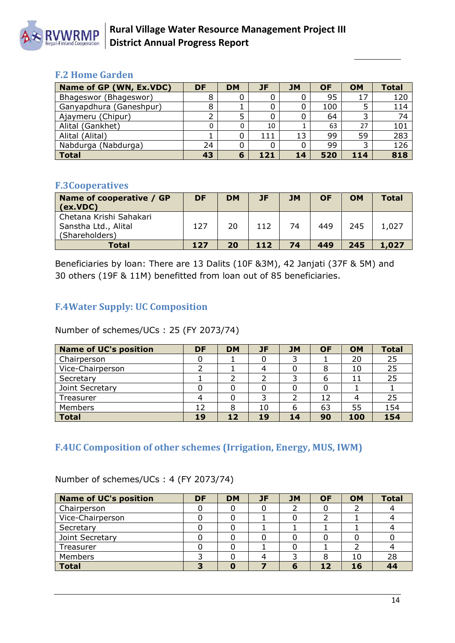

### <span id="page-13-0"></span>**F.2 Home Garden**

| Name of GP (WN, Ex.VDC) | DF | <b>DM</b> | JF  | <b>JM</b> | <b>OF</b> | <b>OM</b> | <b>Total</b> |
|-------------------------|----|-----------|-----|-----------|-----------|-----------|--------------|
| Bhageswor (Bhageswor)   | 8  |           |     | 0         | 95        | 17        | 120          |
| Ganyapdhura (Ganeshpur) | 8  |           |     | 0         | 100       |           | 114          |
| Ajaymeru (Chipur)       |    |           |     | 0         | 64        |           | 74           |
| Alital (Gankhet)        |    |           | 10  |           | 63        | 27        | 101          |
| Alital (Alital)         |    |           | 111 | 13        | 99        | 59        | 283          |
| Nabdurga (Nabdurga)     | 24 |           |     | 0         | 99        |           | 126          |
| <b>Total</b>            | 43 | 6         | 121 | 14        | 520       | 114       | 818          |

### <span id="page-13-1"></span>**F.3Cooperatives**

| Name of cooperative / GP<br>(cx.VDC)                              | DF  | <b>DM</b> | JF  | <b>JM</b> | <b>OF</b> | <b>OM</b> | <b>Total</b> |
|-------------------------------------------------------------------|-----|-----------|-----|-----------|-----------|-----------|--------------|
| Chetana Krishi Sahakari<br>Sanstha Ltd., Alital<br>(Shareholders) | 127 | 20        | 112 | 74        | 449       | 245       | 1,027        |
| <b>Total</b>                                                      | 127 | 20        | 112 | 74        | 449       | 245       | 1.027        |

Beneficiaries by loan: There are 13 Dalits (10F &3M), 42 Janjati (37F & 5M) and 30 others (19F & 11M) benefitted from loan out of 85 beneficiaries.

## <span id="page-13-2"></span>**F.4Water Supply: UC Composition**

Number of schemes/UCs : 25 (FY 2073/74)

| <b>Name of UC's position</b> | DF | <b>DM</b>       | JF | <b>JM</b> | <b>OF</b> | <b>OM</b> | <b>Total</b> |
|------------------------------|----|-----------------|----|-----------|-----------|-----------|--------------|
| Chairperson                  |    |                 |    |           |           | 20        | 25           |
| Vice-Chairperson             |    |                 |    |           | 8         | 10        | 25           |
| Secretary                    |    |                 |    |           | 6         | 11        | 25           |
| Joint Secretary              |    |                 |    |           |           |           |              |
| Treasurer                    |    |                 |    |           | 12        |           | 25           |
| Members                      | 12 | 8               | 10 | 6         | 63        | 55        | 154          |
| <b>Total</b>                 | 19 | 12 <sub>1</sub> | 19 | 14        | 90        | 100       | 154          |

## <span id="page-13-3"></span>**F.4UC Composition of other schemes (Irrigation, Energy, MUS, IWM)**

| <b>Name of UC's position</b> | DF  | <b>DM</b> | <b>JF</b> | <b>JM</b> | <b>OF</b> | <b>OM</b> | <b>Total</b> |
|------------------------------|-----|-----------|-----------|-----------|-----------|-----------|--------------|
| Chairperson                  |     |           |           |           |           |           |              |
| Vice-Chairperson             |     |           |           |           |           |           |              |
| Secretary                    |     |           |           |           |           |           |              |
| Joint Secretary              |     |           |           |           |           |           |              |
| Treasurer                    |     |           |           |           |           |           |              |
| Members                      |     |           |           |           |           | 10        | 28           |
| <b>Total</b>                 | - 1 |           |           |           |           |           | 44           |

Number of schemes/UCs : 4 (FY 2073/74)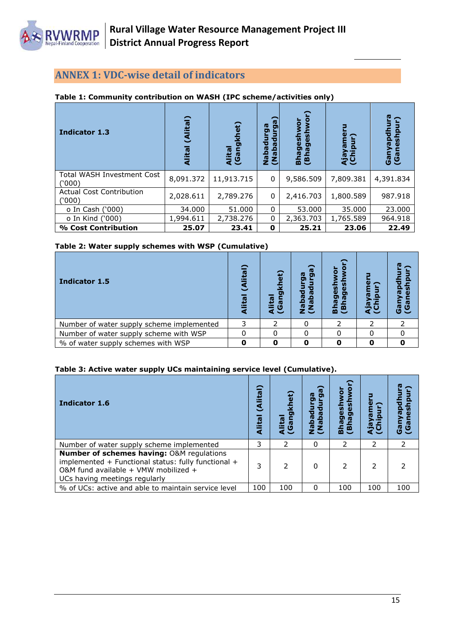

## <span id="page-14-0"></span>**ANNEX 1: VDC-wise detail of indicators**

#### **Table 1: Community contribution on WASH (IPC scheme/activities only)**

| <b>Indicator 1.3</b>                       | $\overline{\mathsf{cal}}$<br>嵒 | $\epsilon$ t)<br>₹<br>Alital<br>(Gang | g<br>9<br>τ<br>ſΦ<br><b>RdsM</b><br>≏<br><b>r</b><br>ξ | ō<br>Bhageshwor<br>(Bhageshwo | ipur)<br>Aja <sub>)</sub> | 연<br>Ganyapdhu<br>š<br>(Gan |
|--------------------------------------------|--------------------------------|---------------------------------------|--------------------------------------------------------|-------------------------------|---------------------------|-----------------------------|
| <b>Total WASH Investment Cost</b><br>(000) | 8,091.372                      | 11,913.715                            | 0                                                      | 9,586.509                     | 7,809.381                 | 4,391.834                   |
| <b>Actual Cost Contribution</b><br>('000)  | 2,028.611                      | 2,789.276                             | 0                                                      | 2,416.703                     | 1,800.589                 | 987.918                     |
| o In Cash ('000)                           | 34.000                         | 51,000                                | 0                                                      | 53,000                        | 35,000                    | 23,000                      |
| o In Kind ('000)                           | 1,994.611                      | 2,738,276                             | 0                                                      | 2,363,703                     | 1,765.589                 | 964.918                     |
| % Cost Contribution                        | 25.07                          | 23.41                                 | 0                                                      | 25.21                         | 23.06                     | 22.49                       |

#### **Table 2: Water supply schemes with WSP (Cumulative)**

| Indicator 1.5                             | <u>n</u><br>일 | et)<br>Ω<br>侗<br>$\boldsymbol{\sigma}$ | ω<br>Ы<br>eqe<br>心<br>ΞŜ | ō<br>ω<br>o<br>Bhag<br>(Bha <sub>)</sub> | ී<br>w<br>ம உ |
|-------------------------------------------|---------------|----------------------------------------|--------------------------|------------------------------------------|---------------|
| Number of water supply scheme implemented |               |                                        |                          |                                          |               |
| Number of water supply scheme with WSP    |               |                                        |                          |                                          |               |
| % of water supply schemes with WSP        |               |                                        |                          |                                          |               |

#### **Table 3: Active water supply UCs maintaining service level (Cumulative).**

| Indicator 1.6                                                                                                                                                                        | ≏<br>lita<br>₹<br>lital<br>ਟ | et)<br>Alital<br>(Gang | G6<br>ω<br>콩<br>ιã<br>sqeN)<br>PaqeN | ō<br>3<br>ซี<br>ה<br><b>Bhag</b><br>$(Bh$ a | Aja<br>(Chi | (Gan<br><u>ត្ត</u> |
|--------------------------------------------------------------------------------------------------------------------------------------------------------------------------------------|------------------------------|------------------------|--------------------------------------|---------------------------------------------|-------------|--------------------|
| Number of water supply scheme implemented                                                                                                                                            | 3                            | 2                      | 0                                    | $\mathcal{P}$                               | 2           |                    |
| <b>Number of schemes having: O&amp;M regulations</b><br>implemented + Functional status: fully functional +<br>O&M fund available + VMW mobilized +<br>UCs having meetings regularly |                              |                        | U                                    |                                             | 2           |                    |
| % of UCs: active and able to maintain service level                                                                                                                                  | 100                          | 100                    | O                                    | 100                                         | 100         | 100                |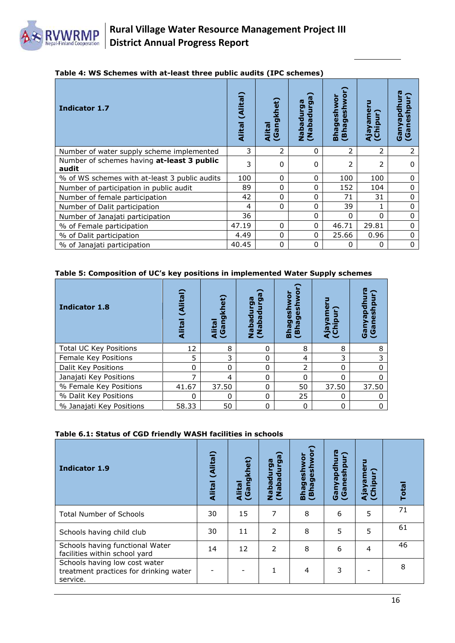

|  |  |  |  | Table 4: WS Schemes with at-least three public audits (IPC schemes) |
|--|--|--|--|---------------------------------------------------------------------|
|  |  |  |  |                                                                     |

| Indicator 1.7                                       | (Alital)<br><b>Alital</b> | khet)<br>Alital<br>(Gangl | ga)<br>ဌိ<br>з<br>npeqeN)<br>InpeqeN | eshwor<br>Bhageshwo<br>Ō<br>(Bha | Ajayame<br>(Chipur) | 리<br>≧<br>(Gan<br>ලී |
|-----------------------------------------------------|---------------------------|---------------------------|--------------------------------------|----------------------------------|---------------------|----------------------|
| Number of water supply scheme implemented           | 3                         | 2                         | 0                                    | 2                                | 2                   | 2                    |
| Number of schemes having at-least 3 public<br>audit | 3                         | 0                         | 0                                    | 2                                | 2                   | $\Omega$             |
| % of WS schemes with at-least 3 public audits       | 100                       | 0                         | 0                                    | 100                              | 100                 | $\mathbf{0}$         |
| Number of participation in public audit             | 89                        | 0                         | 0                                    | 152                              | 104                 | $\Omega$             |
| Number of female participation                      | 42                        | 0                         | 0                                    | 71                               | 31                  | 0                    |
| Number of Dalit participation                       | 4                         | 0                         | 0                                    | 39                               |                     | 0                    |
| Number of Janajati participation                    | 36                        |                           | $\Omega$                             | 0                                | O                   | $\Omega$             |
| % of Female participation                           | 47.19                     | 0                         | $\Omega$                             | 46.71                            | 29.81               | $\Omega$             |
| % of Dalit participation                            | 4.49                      | 0                         | 0                                    | 25.66                            | 0.96                | $\Omega$             |
| % of Janajati participation                         | 40.45                     | 0                         | 0                                    | 0                                | 0                   | 0                    |

#### **Table 5: Composition of UC's key positions in implemented Water Supply schemes**

| <b>Indicator 1.8</b>          | ≏<br>(Alital<br>Alital | et)<br>⊽<br>ה<br>협<br>a<br>Ca | rga)<br>ලි<br>ප<br>Nabadur<br>Mabadur | <b>D</b><br>$\overline{9}$<br>$\frac{1}{9}$<br><u>ဖွ</u><br>ω<br>ත<br>ō<br>(Bha<br>은<br>ᆱ | <u>ဗို</u><br>pur)<br>ក<br><b>A</b> <sub>5</sub> | 巴<br>ᇹ<br>ලී<br>ී |
|-------------------------------|------------------------|-------------------------------|---------------------------------------|-------------------------------------------------------------------------------------------|--------------------------------------------------|-------------------|
| <b>Total UC Key Positions</b> | 12                     | 8                             | 0                                     | 8                                                                                         | 8                                                | 8                 |
| Female Key Positions          | 5                      | 3                             | 0                                     | 4                                                                                         | 3                                                | 3                 |
| Dalit Key Positions           | 0                      | O                             | $\Omega$                              | 2                                                                                         | $\Omega$                                         | <sup>0</sup>      |
| Janajati Key Positions        |                        | 4                             | 0                                     | 0                                                                                         | 0                                                | $\Omega$          |
| % Female Key Positions        | 41.67                  | 37.50                         | 0                                     | 50                                                                                        | 37.50                                            | 37.50             |
| % Dalit Key Positions         | ŋ                      | $\Omega$                      | $\Omega$                              | 25                                                                                        | 0                                                | <sup>0</sup>      |
| % Janajati Key Positions      | 58.33                  | 50                            | $\Omega$                              | $\mathbf 0$                                                                               | 0                                                | 0                 |

#### **Table 6.1: Status of CGD friendly WASH facilities in schools**

| <b>Indicator 1.9</b>                                                                | (Alital)<br><b>Alital</b> | (Gangkhet)<br><b>Alital</b> | ga)<br>Nabadurga<br>Egubadurga | geshwor)<br>ō<br>3<br><u>ဖွ</u><br>erge<br>(Bha) | Ganyapdhura<br>(hpur<br><b>V)</b><br>$\omega$<br>$\overline{G}$ | 근<br>Ajayame<br>(Chipur) | <b>Total</b> |
|-------------------------------------------------------------------------------------|---------------------------|-----------------------------|--------------------------------|--------------------------------------------------|-----------------------------------------------------------------|--------------------------|--------------|
| <b>Total Number of Schools</b>                                                      | 30                        | 15                          | 7                              | 8                                                | 6                                                               | 5                        | 71           |
| Schools having child club                                                           | 30                        | 11                          | $\overline{2}$                 | 8                                                | 5                                                               | 5                        | 61           |
| Schools having functional Water<br>facilities within school yard                    | 14                        | 12                          | $\overline{2}$                 | 8                                                | 6                                                               | 4                        | 46           |
| Schools having low cost water<br>treatment practices for drinking water<br>service. |                           |                             | 1                              | 4                                                | 3                                                               |                          | 8            |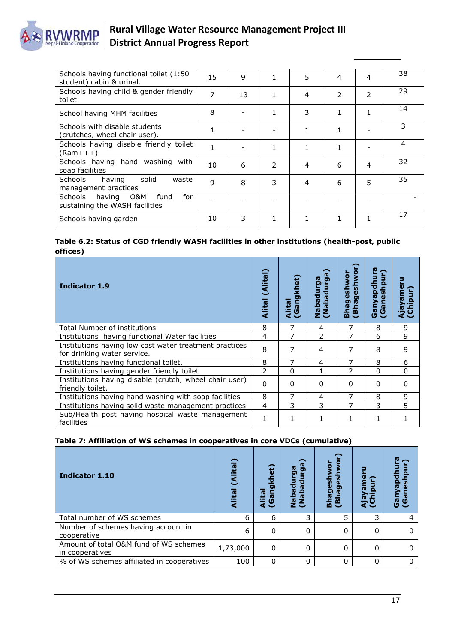

| Schools having functional toilet (1:50<br>student) cabin & urinal.     | 15 | 9  | 1 | 5 | 4 | 4              | 38 |
|------------------------------------------------------------------------|----|----|---|---|---|----------------|----|
| Schools having child & gender friendly<br>toilet                       | 7  | 13 |   | 4 | 2 | $\overline{2}$ | 29 |
| School having MHM facilities                                           | 8  |    |   | 3 |   |                | 14 |
| Schools with disable students<br>(crutches, wheel chair user).         |    |    |   |   |   |                | 3  |
| Schools having disable friendly toilet<br>(Ram+++)                     |    |    |   |   |   |                | 4  |
| Schools having hand washing<br>with<br>soap facilities                 | 10 | 6  | 2 | 4 | 6 | 4              | 32 |
| solid<br>Schools<br>having<br>waste<br>management practices            | 9  | 8  | 3 | 4 | 6 | 5              | 35 |
| having O&M<br>for<br>Schools<br>fund<br>sustaining the WASH facilities |    |    |   |   |   |                |    |
| Schools having garden                                                  | 10 | 3  |   |   | 1 |                | 17 |

#### **Table 6.2: Status of CGD friendly WASH facilities in other institutions (health-post, public offices)**

| <b>Indicator 1.9</b>                                                                  | (Alital<br><b>Alital</b> | het)<br>Alital<br>(Gangl | 급<br>Nabadı<br>Josda<br>J | ownls<br>eshw<br>$\mathbf 0$<br>Ō<br>ō<br>$\mathbf{E}$<br><b>Bha</b><br>$\overline{B}$ | aneshpu<br>Banyapd<br>ၑ |              |
|---------------------------------------------------------------------------------------|--------------------------|--------------------------|---------------------------|----------------------------------------------------------------------------------------|-------------------------|--------------|
| Total Number of institutions                                                          | 8                        |                          | 4                         |                                                                                        | 8                       | 9            |
| Institutions having functional Water facilities                                       | 4                        | 7                        | フ                         | 7                                                                                      | 6                       | 9            |
| Institutions having low cost water treatment practices<br>for drinking water service. | 8                        | 7                        | 4                         | 7                                                                                      | 8                       | 9            |
| Institutions having functional toilet.                                                | 8                        | 7                        | 4                         | 7                                                                                      | 8                       | 6            |
| Institutions having gender friendly toilet                                            | $\mathcal{P}$            | $\Omega$                 |                           | 2                                                                                      | $\Omega$                | $\Omega$     |
| Institutions having disable (crutch, wheel chair user)<br>friendly toilet.            | $\Omega$                 | $\Omega$                 | 0                         | 0                                                                                      | $\Omega$                | <sup>0</sup> |
| Institutions having hand washing with soap facilities                                 | 8                        |                          | 4                         |                                                                                        | 8                       | 9            |
| Institutions having solid waste management practices                                  | 4                        | 3                        | 3                         |                                                                                        | 3                       | 5            |
| Sub/Health post having hospital waste management<br>facilities                        |                          |                          |                           |                                                                                        |                         |              |

#### **Table 7: Affiliation of WS schemes in cooperatives in core VDCs (cumulative)**

| Indicator 1.10                                            | 西<br>lita | et)<br>Alita<br>(Gan | පා<br>ſ٥<br>۵<br><b>IQ</b><br>£ξ | g<br>$\overline{\mathbf{g}}$<br>ה<br><b>Bhage</b><br>俓<br>(Bh |   | ؏<br><b>Gal</b><br>යී |
|-----------------------------------------------------------|-----------|----------------------|----------------------------------|---------------------------------------------------------------|---|-----------------------|
| Total number of WS schemes                                | 6         | 6                    | 3                                | 5                                                             | 3 |                       |
| Number of schemes having account in<br>cooperative        | 6         | $\Omega$             | 0                                | 0                                                             | 0 |                       |
| Amount of total O&M fund of WS schemes<br>in cooperatives | 1,73,000  | $\mathbf{0}$         | 0                                | 0                                                             | 0 |                       |
| % of WS schemes affiliated in cooperatives                | 100       | $\Omega$             | 0                                | 0                                                             | 0 |                       |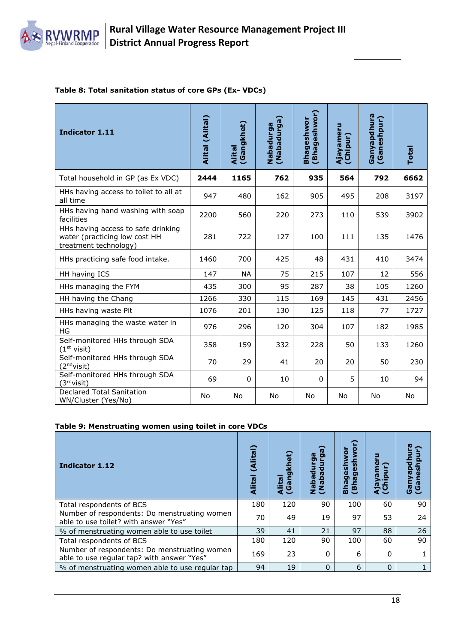

#### **Table 8: Total sanitation status of core GPs (Ex- VDCs)**

| Indicator 1.11                                                                               | Alital (Alital) | (Gangkhet)<br><b>Alital</b> | (Nabadurga)<br><b>Nabadurga</b> | (Bhageshwor)<br>Bhageshwor | Ajayameru<br>(Chipur) | Ganyapdhura<br>(Ganeshpur) | <b>Total</b> |
|----------------------------------------------------------------------------------------------|-----------------|-----------------------------|---------------------------------|----------------------------|-----------------------|----------------------------|--------------|
| Total household in GP (as Ex VDC)                                                            | 2444            | 1165                        | 762                             | 935                        | 564                   | 792                        | 6662         |
| HHs having access to toilet to all at<br>all time                                            | 947             | 480                         | 162                             | 905                        | 495                   | 208                        | 3197         |
| HHs having hand washing with soap<br>facilities                                              | 2200            | 560                         | 220                             | 273                        | 110                   | 539                        | 3902         |
| HHs having access to safe drinking<br>water (practicing low cost HH<br>treatment technology) | 281             | 722                         | 127                             | 100                        | 111                   | 135                        | 1476         |
| HHs practicing safe food intake.                                                             | 1460            | 700                         | 425                             | 48                         | 431                   | 410                        | 3474         |
| HH having ICS                                                                                | 147             | <b>NA</b>                   | 75                              | 215                        | 107                   | 12                         | 556          |
| HHs managing the FYM                                                                         | 435             | 300                         | 95                              | 287                        | 38                    | 105                        | 1260         |
| HH having the Chang                                                                          | 1266            | 330                         | 115                             | 169                        | 145                   | 431                        | 2456         |
| HHs having waste Pit                                                                         | 1076            | 201                         | 130                             | 125                        | 118                   | 77                         | 1727         |
| HHs managing the waste water in<br>HG                                                        | 976             | 296                         | 120                             | 304                        | 107                   | 182                        | 1985         |
| Self-monitored HHs through SDA<br>(1 <sup>st</sup> visit)                                    | 358             | 159                         | 332                             | 228                        | 50                    | 133                        | 1260         |
| Self-monitored HHs through SDA<br>(2 <sup>nd</sup> visit)                                    | 70              | 29                          | 41                              | 20                         | 20                    | 50                         | 230          |
| Self-monitored HHs through SDA<br>(3 <sup>rd</sup> visit)                                    | 69              | 0                           | 10                              | 0                          | 5                     | 10                         | 94           |
| Declared Total Sanitation<br>WN/Cluster (Yes/No)                                             | No              | No                          | No                              | No                         | No                    | No                         | No           |

#### **Table 9: Menstruating women using toilet in core VDCs**

| Indicator 1.12                                                                             | (Alital<br>Alital | khet)<br>ה<br>凸<br>ſŪ<br>ইওঁ | ೯<br>ro<br>ō<br>σ<br>Nabadur<br>JubadaM<br>SuubadaM | Ş<br>ත<br>ъ<br><b>ID</b><br>$\ddot{\mathbf{B}}$<br>m | ru       | 8<br>(Gane<br>چ<br>© |
|--------------------------------------------------------------------------------------------|-------------------|------------------------------|-----------------------------------------------------|------------------------------------------------------|----------|----------------------|
| Total respondents of BCS                                                                   | 180               | 120                          | 90                                                  | 100                                                  | 60       | 90                   |
| Number of respondents: Do menstruating women<br>able to use toilet? with answer "Yes"      | 70                | 49                           | 19                                                  | 97                                                   | 53       | 24                   |
| % of menstruating women able to use toilet                                                 | 39                | 41                           | 21                                                  | 97                                                   | 88       | 26                   |
| Total respondents of BCS                                                                   | 180               | 120                          | 90                                                  | 100                                                  | 60       | 90                   |
| Number of respondents: Do menstruating women<br>able to use regular tap? with answer "Yes" | 169               | 23                           | 0                                                   | 6                                                    | 0        |                      |
| % of menstruating women able to use regular tap                                            | 94                | 19                           | $\Omega$                                            | 6                                                    | $\Omega$ |                      |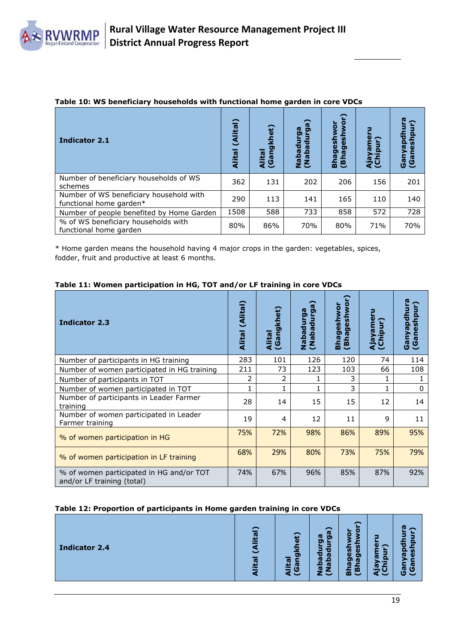

| <b>Indicator 2.1</b>                                               | (Alital)<br><b>Alital</b> | et)<br>Alital<br>(Gan | ์<br>ล<br><b>ro</b><br>ō<br>ō<br>Nabadur<br>SupeqeN) | S<br><b>UMOI</b><br>ges<br>gesl<br>(Bha)<br><b>Bha</b> | Ajayar<br>(Chipu | Ganya<br>(Gane |
|--------------------------------------------------------------------|---------------------------|-----------------------|------------------------------------------------------|--------------------------------------------------------|------------------|----------------|
| Number of beneficiary households of WS<br>schemes                  | 362                       | 131                   | 202                                                  | 206                                                    | 156              | 201            |
| Number of WS beneficiary household with<br>functional home garden* | 290                       | 113                   | 141                                                  | 165                                                    | 110              | 140            |
| Number of people benefited by Home Garden                          | 1508                      | 588                   | 733                                                  | 858                                                    | 572              | 728            |
| % of WS beneficiary households with<br>functional home garden      | 80%                       | 86%                   | 70%                                                  | 80%                                                    | 71%              | 70%            |

#### **Table 10: WS beneficiary households with functional home garden in core VDCs**

\* Home garden means the household having 4 major crops in the garden: vegetables, spices, fodder, fruit and productive at least 6 months.

| Table 11: Women participation in HG, TOT and/or LF training in core VDCs |  |  |  |  |  |
|--------------------------------------------------------------------------|--|--|--|--|--|
|--------------------------------------------------------------------------|--|--|--|--|--|

| <b>Indicator 2.3</b>                                                   | (Alital)<br><b>Alital</b> | Alital<br>(Gangkhet) | <b>IQ</b><br><b>IQ</b><br>စ္စ<br><b>Dann</b><br>ubada<br>U<br>Nabad | hwor<br>Bhageshwo<br><b>S</b><br>ğ,<br>心<br>$\ddot{a}$ | Ajayamer<br>(Chipur) | pdhura<br>(Ganeshpu<br>Ganya |
|------------------------------------------------------------------------|---------------------------|----------------------|---------------------------------------------------------------------|--------------------------------------------------------|----------------------|------------------------------|
| Number of participants in HG training                                  | 283                       | 101                  | 126                                                                 | 120                                                    | 74                   | 114                          |
| Number of women participated in HG training                            | 211                       | 73                   | 123                                                                 | 103                                                    | 66                   | 108                          |
| Number of participants in TOT                                          | 2                         | 2                    |                                                                     | 3                                                      |                      |                              |
| Number of women participated in TOT                                    |                           | 1                    |                                                                     | 3                                                      |                      | 0                            |
| Number of participants in Leader Farmer<br>training                    | 28                        | 14                   | 15                                                                  | 15                                                     | 12                   | 14                           |
| Number of women participated in Leader<br>Farmer training              | 19                        | 4                    | 12                                                                  | 11                                                     | 9                    | 11                           |
| % of women participation in HG                                         | 75%                       | 72%                  | 98%                                                                 | 86%                                                    | 89%                  | 95%                          |
| % of women participation in LF training                                | 68%                       | 29%                  | 80%                                                                 | 73%                                                    | 75%                  | 79%                          |
| % of women participated in HG and/or TOT<br>and/or LF training (total) | 74%                       | 67%                  | 96%                                                                 | 85%                                                    | 87%                  | 92%                          |

#### **Table 12: Proportion of participants in Home garden training in core VDCs**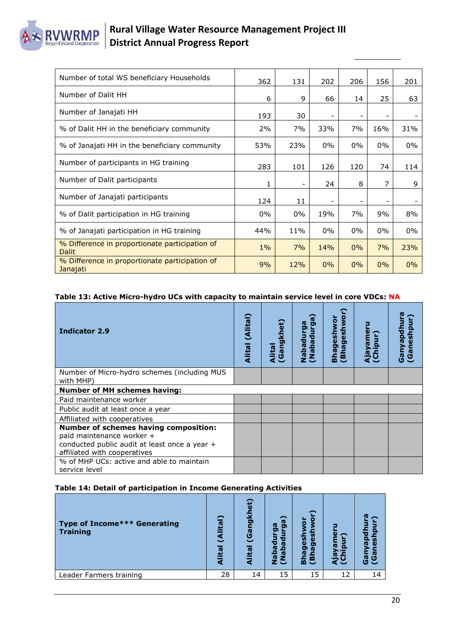## **RVWRMP**

## **Rural Village Water Resource Management Project III District Annual Progress Report**

| Number of total WS beneficiary Households                      | 362   | 131   | 202 | 206                      | 156   | 201   |
|----------------------------------------------------------------|-------|-------|-----|--------------------------|-------|-------|
| Number of Dalit HH                                             | 6     | 9     | 66  | 14                       | 25    | 63    |
| Number of Janajati HH                                          | 193   | 30    |     |                          |       |       |
| % of Dalit HH in the beneficiary community                     | 2%    | 7%    | 33% | 7%                       | 16%   | 31%   |
| % of Janajati HH in the beneficiary community                  | 53%   | 23%   | 0%  | $0\%$                    | $0\%$ | $0\%$ |
| Number of participants in HG training                          | 283   | 101   | 126 | 120                      | 74    | 114   |
| Number of Dalit participants                                   | 1     |       | 24  | 8                        | 7     | 9     |
| Number of Janajati participants                                | 124   | 11    | ۰   | $\overline{\phantom{a}}$ |       |       |
| % of Dalit participation in HG training                        | $0\%$ | $0\%$ | 19% | 7%                       | 9%    | 8%    |
| % of Janajati participation in HG training                     | 44%   | 11%   | 0%  | $0\%$                    | $0\%$ | $0\%$ |
| % Difference in proportionate participation of<br><b>Dalit</b> | $1\%$ | 7%    | 14% | 0%                       | 7%    | 23%   |
| % Difference in proportionate participation of<br>Janajati     | 9%    | 12%   | 0%  | 0%                       | 0%    | $0\%$ |

#### **Table 13: Active Micro-hydro UCs with capacity to maintain service level in core VDCs: NA**

| <b>Indicator 2.9</b>                                                                                                                                | (Alital)<br><b>Alital</b> | ίĐ<br>Gangkh<br><b>Alital</b> | ត<br>o<br>Nabadur<br>Tubada | eshwo<br>eshwor<br>Ō<br>Bhag<br>(Bha | Ajayame<br><b>E</b><br>Chi | Ganyapdi<br>ര<br>୍ତ |
|-----------------------------------------------------------------------------------------------------------------------------------------------------|---------------------------|-------------------------------|-----------------------------|--------------------------------------|----------------------------|---------------------|
| Number of Micro-hydro schemes (including MUS<br>with MHP)                                                                                           |                           |                               |                             |                                      |                            |                     |
| <b>Number of MH schemes having:</b>                                                                                                                 |                           |                               |                             |                                      |                            |                     |
| Paid maintenance worker                                                                                                                             |                           |                               |                             |                                      |                            |                     |
| Public audit at least once a year                                                                                                                   |                           |                               |                             |                                      |                            |                     |
| Affiliated with cooperatives                                                                                                                        |                           |                               |                             |                                      |                            |                     |
| Number of schemes having composition:<br>paid maintenance worker +<br>conducted public audit at least once a year +<br>affiliated with cooperatives |                           |                               |                             |                                      |                            |                     |
| % of MHP UCs: active and able to maintain<br>service level                                                                                          |                           |                               |                             |                                      |                            |                     |

#### **Table 14: Detail of participation in Income Generating Activities**

| Type of Income*** Generating<br><b>Training</b> | ≏<br>四<br>æ<br>ιo | et)<br>ngkl<br>$\bar{5}$<br>Alital | ga)<br>œ<br>о<br>с<br>w<br>œ<br>o<br>e<br>侗<br><b>rg</b><br>z<br>z J | ⌒<br>Ο<br>$\circ$<br><b>u</b><br>ω<br>ω<br>ත<br>o<br>ſG<br><b>IQ</b><br>돈은 | o  | ſŪ<br>$\overline{\phantom{0}}$<br><b>V)</b><br>ru<br>ω<br>ලී<br>යී |
|-------------------------------------------------|-------------------|------------------------------------|----------------------------------------------------------------------|----------------------------------------------------------------------------|----|--------------------------------------------------------------------|
| Leader Farmers training                         | 28                | 14                                 | 15                                                                   | 15                                                                         | 12 | 14                                                                 |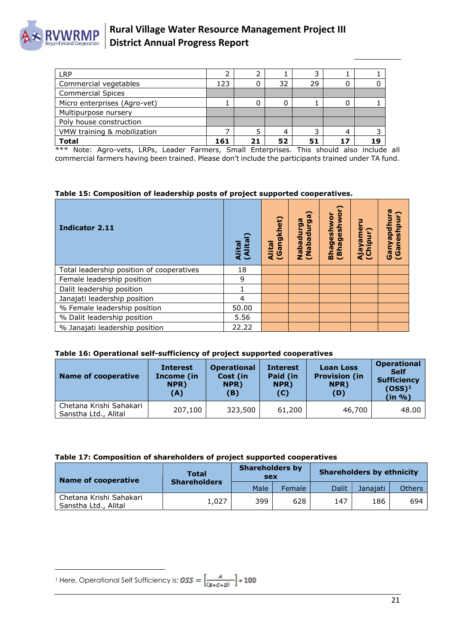

| LRP                          |     |     |    |    |   |     |
|------------------------------|-----|-----|----|----|---|-----|
| Commercial vegetables        | 123 |     | 32 | 29 | O |     |
| <b>Commercial Spices</b>     |     |     |    |    |   |     |
| Micro enterprises (Agro-vet) |     |     | ი  |    |   |     |
| Multipurpose nursery         |     |     |    |    |   |     |
| Poly house construction      |     |     |    |    |   |     |
| VMW training & mobilization  |     | 5   | 4  |    | 4 |     |
| <b>Total</b>                 | 161 | י כ | 52 | 51 |   | 1 Q |

\*\*\* Note: Agro-vets, LRPs, Leader Farmers, Small Enterprises. This should also include all commercial farmers having been trained. Please don't include the participants trained under TA fund.

**Table 15: Composition of leadership posts of project supported cooperatives.**

| <b>Indicator 2.11</b>                     | Alital<br>(Alital | (Gangkhet)<br>Alital | (e6<br><b>ID</b><br>Nabadurg<br>InpeqeN) | (Bhageshwor)<br>Ō<br><u>igal</u><br>Bhag | 3<br>Ajayamer<br>(Chipur) | Ganyapdhura<br>(Ganeshpur) |
|-------------------------------------------|-------------------|----------------------|------------------------------------------|------------------------------------------|---------------------------|----------------------------|
| Total leadership position of cooperatives | 18                |                      |                                          |                                          |                           |                            |
| Female leadership position                | 9                 |                      |                                          |                                          |                           |                            |
| Dalit leadership position                 |                   |                      |                                          |                                          |                           |                            |
| Janajati leadership position              | 4                 |                      |                                          |                                          |                           |                            |
| % Female leadership position              | 50.00             |                      |                                          |                                          |                           |                            |
| % Dalit leadership position               | 5.56              |                      |                                          |                                          |                           |                            |
| % Janajati leadership position            | 22.22             |                      |                                          |                                          |                           |                            |

#### **Table 16: Operational self-sufficiency of project supported cooperatives**

| Name of cooperative                             | <b>Interest</b><br>Income (in<br>NPR)<br>(A) | <b>Operational</b><br>Cost (in<br>NPR)<br>(B) | <b>Interest</b><br>Paid (in<br>NPR)<br>(C) | <b>Loan Loss</b><br><b>Provision (in</b><br>NPR)<br>(D) | <b>Operational</b><br><b>Self</b><br><b>Sufficiency</b><br>$(OSS)^1$<br>(in %) |
|-------------------------------------------------|----------------------------------------------|-----------------------------------------------|--------------------------------------------|---------------------------------------------------------|--------------------------------------------------------------------------------|
| Chetana Krishi Sahakari<br>Sanstha Ltd., Alital | 207,100                                      | 323,500                                       | 61,200                                     | 46,700                                                  | 48.00                                                                          |

#### **Table 17: Composition of shareholders of project supported cooperatives**

| Name of cooperative                               | Total               | <b>Shareholders by</b><br>sex |        |              | <b>Shareholders by ethnicity</b> |               |
|---------------------------------------------------|---------------------|-------------------------------|--------|--------------|----------------------------------|---------------|
|                                                   | <b>Shareholders</b> | Male                          | Female | <b>Dalit</b> | Janaiati                         | <b>Others</b> |
| l Chetana Krishi Sahakari<br>Sanstha Ltd., Alital | 1,027               | 399                           | 628    | 147          | 186                              | 694           |

 $\overline{a}$ <sup>1</sup> Here, Operational Self Sufficiency is: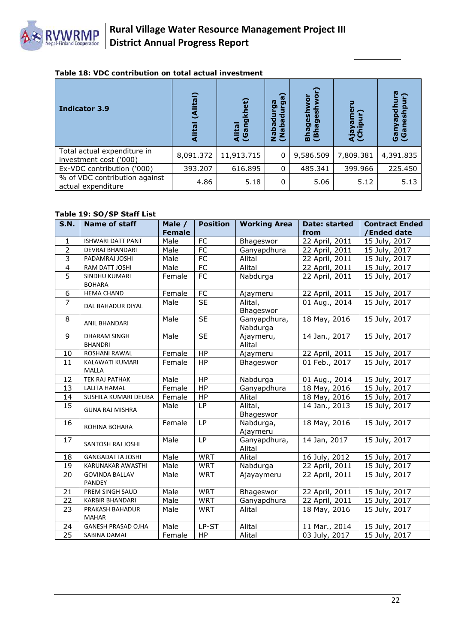

#### **Table 18: VDC contribution on total actual investment**

| <b>Indicator 3.9</b>                                  | lital)<br>ड<br>eall<br>ਟ | et)<br>Alital<br>(Gang | Ga)<br>ga<br>ъ<br>ত<br>w<br>iada<br><br>≏<br>10<br>ΞŜ | io<br>N<br>gesh<br><b>Bhages</b><br>(Bh | ω<br>ក<br>n. | 인<br>nya<br>ເອັ້ງ<br>ເອີ |
|-------------------------------------------------------|--------------------------|------------------------|-------------------------------------------------------|-----------------------------------------|--------------|--------------------------|
| Total actual expenditure in<br>investment cost ('000) | 8,091.372                | 11,913.715             | 0                                                     | 9,586.509                               | 7,809.381    | 4,391.835                |
| Ex-VDC contribution ('000)                            | 393.207                  | 616.895                | $\mathbf{0}$                                          | 485.341                                 | 399.966      | 225.450                  |
| % of VDC contribution against<br>actual expenditure   | 4.86                     | 5.18                   | 0                                                     | 5.06                                    | 5.12         | 5.13                     |

#### **Table 19: SO/SP Staff List**

| <b>S.N.</b>             | Name of staff                          | Male /<br><b>Female</b> | <b>Position</b> | <b>Working Area</b>      | <b>Date: started</b><br>from | <b>Contract Ended</b><br>/Ended date |
|-------------------------|----------------------------------------|-------------------------|-----------------|--------------------------|------------------------------|--------------------------------------|
| 1                       | <b>ISHWARI DATT PANT</b>               | Male                    | FC              | Bhageswor                | 22 April, 2011               | 15 July, 2017                        |
| $\overline{2}$          | DEVRAJ BHANDARI                        | Male                    | <b>FC</b>       | Ganyapdhura              | 22 April, 2011               | 15 July, 2017                        |
| 3                       | PADAMRAJ JOSHI                         | Male                    | $\overline{FC}$ | Alital                   | 22 April, 2011               | 15 July, 2017                        |
| $\overline{\mathbf{4}}$ | RAM DATT JOSHI                         | Male                    | FC              | Alital                   | 22 April, 2011               | 15 July, 2017                        |
| 5                       | SINDHU KUMARI<br><b>BOHARA</b>         | Female                  | FC              | Nabdurga                 | 22 April, 2011               | 15 July, 2017                        |
| 6                       | <b>HEMA CHAND</b>                      | Female                  | FC              | Ajaymeru                 | 22 April, 2011               | 15 July, 2017                        |
| $\overline{7}$          | DAL BAHADUR DIYAL                      | Male                    | <b>SE</b>       | Alital,<br>Bhageswor     | 01 Aug., 2014                | 15 July, 2017                        |
| 8                       | <b>ANIL BHANDARI</b>                   | Male                    | <b>SE</b>       | Ganyapdhura,<br>Nabdurga | 18 May, 2016                 | 15 July, 2017                        |
| 9                       | DHARAM SINGH<br><b>BHANDRI</b>         | Male                    | <b>SE</b>       | Ajaymeru,<br>Alital      | 14 Jan., 2017                | 15 July, 2017                        |
| 10                      | ROSHANI RAWAL                          | Female                  | HP              | Ajaymeru                 | 22 April, 2011               | 15 July, 2017                        |
| 11                      | KALAWATI KUMARI<br>MALLA               | Female                  | <b>HP</b>       | Bhageswor                | 01 Feb., 2017                | 15 July, 2017                        |
| 12                      | TEK RAJ PATHAK                         | Male                    | HP              | Nabdurga                 | 01 Aug., 2014                | 15 July, 2017                        |
| 13                      | <b>LALITA HAMAL</b>                    | Female                  | HP              | Ganyapdhura              | 18 May, 2016                 | 15 July, 2017                        |
| 14                      | SUSHILA KUMARI DEUBA                   | Female                  | HP              | Alital                   | 18 May, 2016                 | 15 July, 2017                        |
| 15                      | <b>GUNA RAJ MISHRA</b>                 | Male                    | LP              | Alital,<br>Bhageswor     | 14 Jan., 2013                | 15 July, 2017                        |
| 16                      | ROHINA BOHARA                          | Female                  | <b>LP</b>       | Nabdurga,<br>Ajaymeru    | 18 May, 2016                 | 15 July, 2017                        |
| 17                      | SANTOSH RAJ JOSHI                      | Male                    | LP              | Ganyapdhura,<br>Alital   | 14 Jan, 2017                 | 15 July, 2017                        |
| 18                      | <b>GANGADATTA JOSHI</b>                | Male                    | <b>WRT</b>      | Alital                   | 16 July, 2012                | 15 July, 2017                        |
| 19                      | KARUNAKAR AWASTHI                      | Male                    | <b>WRT</b>      | Nabdurga                 | 22 April, 2011               | 15 July, 2017                        |
| 20                      | <b>GOVINDA BALLAV</b><br><b>PANDEY</b> | Male                    | <b>WRT</b>      | Ajayaymeru               | 22 April, 2011               | 15 July, 2017                        |
| 21                      | PREM SINGH SAUD                        | Male                    | <b>WRT</b>      | Bhageswor                | 22 April, 2011               | 15 July, 2017                        |
| 22                      | <b>KARBIR BHANDARI</b>                 | Male                    | <b>WRT</b>      | Ganyapdhura              | 22 April, 2011               | 15 July, 2017                        |
| 23                      | PRAKASH BAHADUR<br><b>MAHAR</b>        | Male                    | <b>WRT</b>      | Alital                   | 18 May, 2016                 | 15 July, 2017                        |
| 24                      | <b>GANESH PRASAD OJHA</b>              | Male                    | LP-ST           | Alital                   | 11 Mar., 2014                | 15 July, 2017                        |
| 25                      | SABINA DAMAI                           | Female                  | HP              | Alital                   | 03 July, 2017                | 15 July, 2017                        |